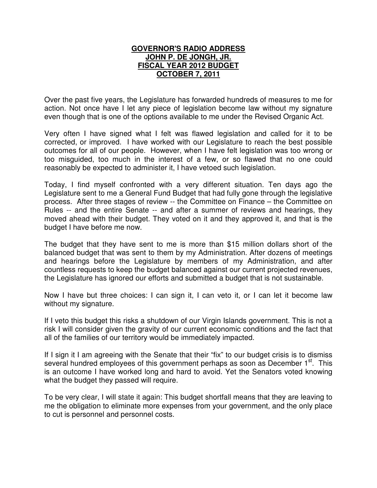## **GOVERNOR'S RADIO ADDRESS JOHN P. DE JONGH, JR. FISCAL YEAR 2012 BUDGET OCTOBER 7, 2011**

Over the past five years, the Legislature has forwarded hundreds of measures to me for action. Not once have I let any piece of legislation become law without my signature even though that is one of the options available to me under the Revised Organic Act.

Very often I have signed what I felt was flawed legislation and called for it to be corrected, or improved. I have worked with our Legislature to reach the best possible outcomes for all of our people. However, when I have felt legislation was too wrong or too misguided, too much in the interest of a few, or so flawed that no one could reasonably be expected to administer it, I have vetoed such legislation.

Today, I find myself confronted with a very different situation. Ten days ago the Legislature sent to me a General Fund Budget that had fully gone through the legislative process. After three stages of review -- the Committee on Finance – the Committee on Rules -- and the entire Senate -- and after a summer of reviews and hearings, they moved ahead with their budget. They voted on it and they approved it, and that is the budget I have before me now.

The budget that they have sent to me is more than \$15 million dollars short of the balanced budget that was sent to them by my Administration. After dozens of meetings and hearings before the Legislature by members of my Administration, and after countless requests to keep the budget balanced against our current projected revenues, the Legislature has ignored our efforts and submitted a budget that is not sustainable.

Now I have but three choices: I can sign it, I can veto it, or I can let it become law without my signature.

If I veto this budget this risks a shutdown of our Virgin Islands government. This is not a risk I will consider given the gravity of our current economic conditions and the fact that all of the families of our territory would be immediately impacted.

If I sign it I am agreeing with the Senate that their "fix" to our budget crisis is to dismiss several hundred employees of this government perhaps as soon as December 1<sup>st</sup>. This is an outcome I have worked long and hard to avoid. Yet the Senators voted knowing what the budget they passed will require.

To be very clear, I will state it again: This budget shortfall means that they are leaving to me the obligation to eliminate more expenses from your government, and the only place to cut is personnel and personnel costs.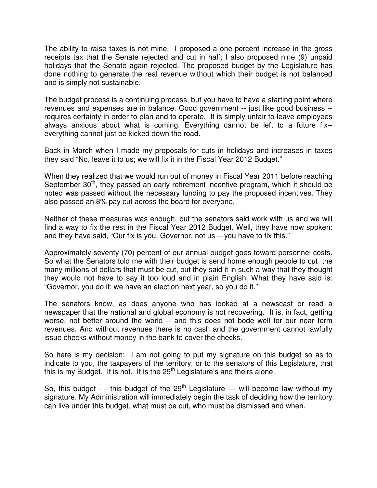The ability to raise taxes is not mine. I proposed a one-percent increase in the gross receipts tax that the Senate rejected and cut in half; I also proposed nine (9) unpaid holidays that the Senate again rejected. The proposed budget by the Legislature has done nothing to generate the real revenue without which their budget is not balanced and is simply not sustainable.

The budget process is a continuing process, but you have to have a starting point where revenues and expenses are in balance. Good government -- just like good business - requires certainty in order to plan and to operate. It is simply unfair to leave employees always anxious about what is coming. Everything cannot be left to a future fix- everything cannot just be kicked down the road.

Back in March when I made my proposals for cuts in holidays and increases in taxes they said "No, leave it to us; we will fix it in the Fiscal Year 2012 Budget."

When they realized that we would run out of money in Fiscal Year 2011 before reaching September  $30<sup>th</sup>$ , they passed an early retirement incentive program, which it should be noted was passed without the necessary funding to pay the proposed incentives. They also passed an 8% pay cut across the board for everyone.

Neither of these measures was enough, but the senators said work with us and we will find a way to fix the rest in the Fiscal Year 2012 Budget. Well, they have now spoken: and they have said, "Our fix is you, Governor, not us -- you have to fix this."

Approximately seventy (70) percent of our annual budget goes toward personnel costs. So what the Senators told me with their budget is send home enough people to cut the many millions of dollars that must be cut, but they said it in such a way that they thought they would not have to say it too loud and in plain English. What they have said is: "Governor, you do it; we have an election next year, so you do it."

The senators know, as does anyone who has looked at a newscast or read a newspaper that the national and global economy is not recovering. It is, in fact, getting worse, not better around the world -- and this does not bode well for our near term revenues. And without revenues there is no cash and the government cannot lawfully issue checks without money in the bank to cover the checks.

So here is my decision: I am not going to put my signature on this budget so as to indicate to you, the taxpayers of the territory, or to the senators of this Legislature, that this is my Budget. It is not. It is the  $29<sup>th</sup>$  Legislature's and theirs alone.

So, this budget - - this budget of the  $29<sup>th</sup>$  Legislature --- will become law without my signature. My Administration will immediately begin the task of deciding how the territory can live under this budget, what must be cut, who must be dismissed and when.